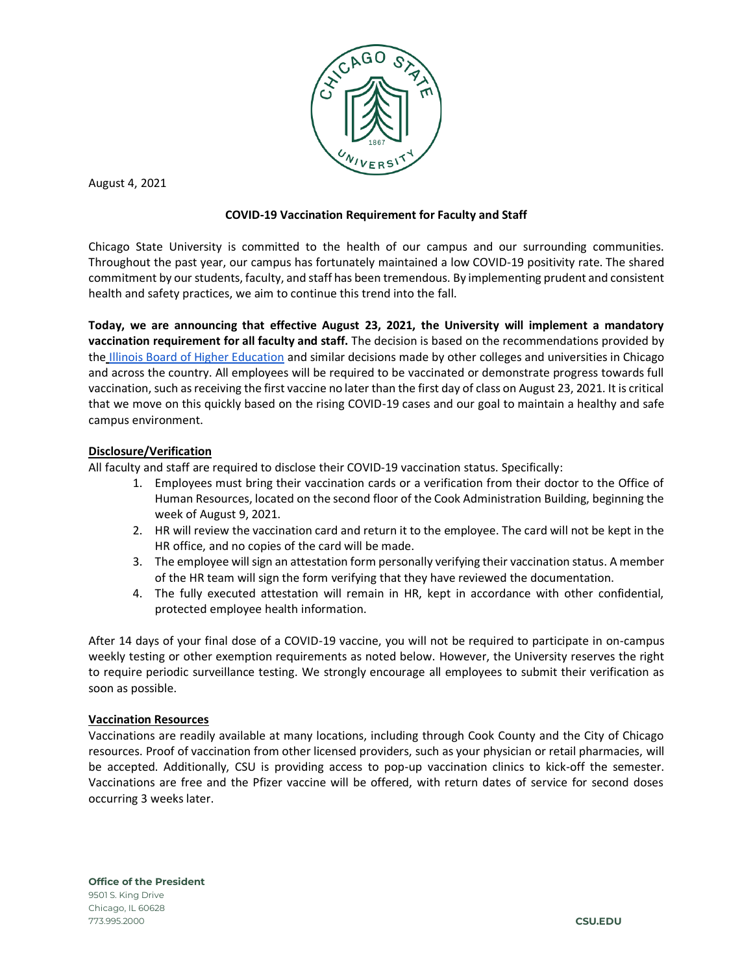

August 4, 2021

# **COVID-19 Vaccination Requirement for Faculty and Staff**

Chicago State University is committed to the health of our campus and our surrounding communities. Throughout the past year, our campus has fortunately maintained a low COVID-19 positivity rate. The shared commitment by our students, faculty, and staff has been tremendous. By implementing prudent and consistent health and safety practices, we aim to continue this trend into the fall.

**Today, we are announcing that effective August 23, 2021, the University will implement a mandatory vaccination requirement for all faculty and staff.** The decision is based on the recommendations provided by the [Illinois Board of Higher Education](https://www.ibhe.org/pdf/COVID-19-Funding/2021.07.19_Higher_Ed_CDC_Mask_Guidance_Release.pdf) and similar decisions made by other colleges and universities in Chicago and across the country. All employees will be required to be vaccinated or demonstrate progress towards full vaccination, such as receiving the first vaccine no later than the first day of class on August 23, 2021. It is critical that we move on this quickly based on the rising COVID-19 cases and our goal to maintain a healthy and safe campus environment.

# **Disclosure/Verification**

All faculty and staff are required to disclose their COVID-19 vaccination status. Specifically:

- 1. Employees must bring their vaccination cards or a verification from their doctor to the Office of Human Resources, located on the second floor of the Cook Administration Building, beginning the week of August 9, 2021.
- 2. HR will review the vaccination card and return it to the employee. The card will not be kept in the HR office, and no copies of the card will be made.
- 3. The employee will sign an attestation form personally verifying their vaccination status. A member of the HR team will sign the form verifying that they have reviewed the documentation.
- 4. The fully executed attestation will remain in HR, kept in accordance with other confidential, protected employee health information.

After 14 days of your final dose of a COVID-19 vaccine, you will not be required to participate in on-campus weekly testing or other exemption requirements as noted below. However, the University reserves the right to require periodic surveillance testing. We strongly encourage all employees to submit their verification as soon as possible.

## **Vaccination Resources**

Vaccinations are readily available at many locations, including through Cook County and the City of Chicago resources. Proof of vaccination from other licensed providers, such as your physician or retail pharmacies, will be accepted. Additionally, CSU is providing access to pop-up vaccination clinics to kick-off the semester. Vaccinations are free and the Pfizer vaccine will be offered, with return dates of service for second doses occurring 3 weeks later.